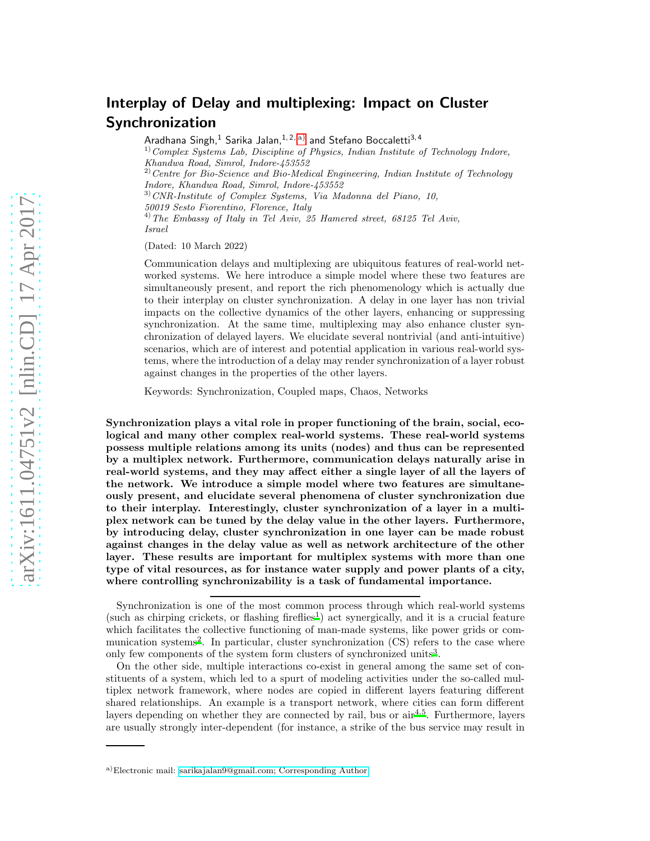## Interplay of Delay and multiplexing: Impact on Cluster Synchronization

Aradhana Singh,<sup>1</sup> Sarika Jalan,<sup>1,2, [a\)](#page-0-0)</sup> and Stefano Boccaletti<sup>3,4</sup>  $1)$  Complex Systems Lab, Discipline of Physics, Indian Institute of Technology Indore, Khandwa Road, Simrol, Indore-453552

 $^{2)}$  Centre for Bio-Science and Bio-Medical Engineering, Indian Institute of Technology Indore, Khandwa Road, Simrol, Indore-453552  $3) CNR$ -Institute of Complex Systems, Via Madonna del Piano, 10, 50019 Sesto Fiorentino, Florence, Italy

 $^{4)}$  The Embassy of Italy in Tel Aviv, 25 Hamered street, 68125 Tel Aviv, Israel

(Dated: 10 March 2022)

Communication delays and multiplexing are ubiquitous features of real-world networked systems. We here introduce a simple model where these two features are simultaneously present, and report the rich phenomenology which is actually due to their interplay on cluster synchronization. A delay in one layer has non trivial impacts on the collective dynamics of the other layers, enhancing or suppressing synchronization. At the same time, multiplexing may also enhance cluster synchronization of delayed layers. We elucidate several nontrivial (and anti-intuitive) scenarios, which are of interest and potential application in various real-world systems, where the introduction of a delay may render synchronization of a layer robust against changes in the properties of the other layers.

Keywords: Synchronization, Coupled maps, Chaos, Networks

Synchronization plays a vital role in proper functioning of the brain, social, ecological and many other complex real-world systems. These real-world systems possess multiple relations among its units (nodes) and thus can be represented by a multiplex network. Furthermore, communication delays naturally arise in real-world systems, and they may affect either a single layer of all the layers of the network. We introduce a simple model where two features are simultaneously present, and elucidate several phenomena of cluster synchronization due to their interplay. Interestingly, cluster synchronization of a layer in a multiplex network can be tuned by the delay value in the other layers. Furthermore, by introducing delay, cluster synchronization in one layer can be made robust against changes in the delay value as well as network architecture of the other layer. These results are important for multiplex systems with more than one type of vital resources, as for instance water supply and power plants of a city, where controlling synchronizability is a task of fundamental importance.

On the other side, multiple interactions co-exist in general among the same set of constituents of a system, which led to a spurt of modeling activities under the so-called multiplex network framework, where nodes are copied in different layers featuring different shared relationships. An example is a transport network, where cities can form different layers depending on whether they are connected by rail, bus or  $\sin^{4,5}$  $\sin^{4,5}$  $\sin^{4,5}$  $\sin^{4,5}$ . Furthermore, layers are usually strongly inter-dependent (for instance, a strike of the bus service may result in

Synchronization is one of the most common process through which real-world systems  $(such as chirping circles, or flashing fireflies<sup>1</sup>) act synergically, and it is a crucial feature$  $(such as chirping circles, or flashing fireflies<sup>1</sup>) act synergically, and it is a crucial feature$  $(such as chirping circles, or flashing fireflies<sup>1</sup>) act synergically, and it is a crucial feature$ which facilitates the collective functioning of man-made systems, like power grids or com-munication systems<sup>[2](#page-8-1)</sup>. In particular, cluster synchronization (CS) refers to the case where only few components of the system form clusters of synchronized units<sup>[3](#page-8-2)</sup>.

<span id="page-0-0"></span>a)Electronic mail: [sarikajalan9@gmail.com; Corresponding](mailto:sarikajalan9@gmail.com; Corresponding Author) Author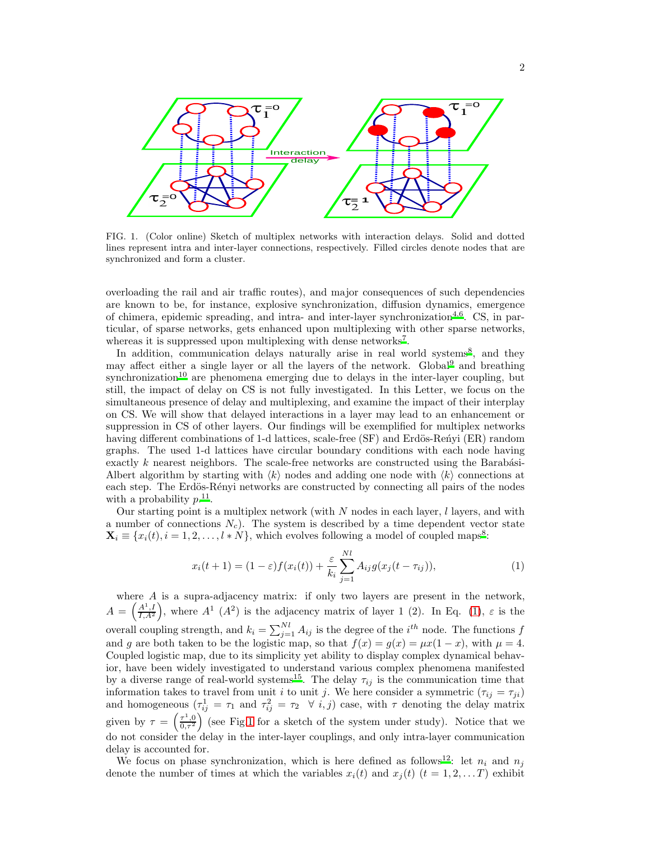

<span id="page-1-1"></span>FIG. 1. (Color online) Sketch of multiplex networks with interaction delays. Solid and dotted lines represent intra and inter-layer connections, respectively. Filled circles denote nodes that are synchronized and form a cluster.

overloading the rail and air traffic routes), and major consequences of such dependencies are known to be, for instance, explosive synchronization, diffusion dynamics, emergence of chimera, epidemic spreading, and intra- and inter-layer synchronization<sup>[4](#page-8-3)[,6](#page-8-5)</sup>. CS, in particular, of sparse networks, gets enhanced upon multiplexing with other sparse networks, whereas it is suppressed upon multiplexing with dense networks<sup>[7](#page-8-6)</sup>.

In addition, communication delays naturally arise in real world systems<sup>[8](#page-8-7)</sup>, and they may affect either a single layer or all the layers of the network. Global [9](#page-8-8) and breathing  $s$ ynchronization<sup>[10](#page-8-9)</sup> are phenomena emerging due to delays in the inter-layer coupling, but still, the impact of delay on CS is not fully investigated. In this Letter, we focus on the simultaneous presence of delay and multiplexing, and examine the impact of their interplay on CS. We will show that delayed interactions in a layer may lead to an enhancement or suppression in CS of other layers. Our findings will be exemplified for multiplex networks having different combinations of 1-d lattices, scale-free (SF) and Erdös-Ren´yi (ER) random graphs. The used 1-d lattices have circular boundary conditions with each node having exactly  $k$  nearest neighbors. The scale-free networks are constructed using the Barabási-Albert algorithm by starting with  $\langle k \rangle$  nodes and adding one node with  $\langle k \rangle$  connections at each step. The Erdös-Rényi networks are constructed by connecting all pairs of the nodes with a probability  $p^{11}$  $p^{11}$  $p^{11}$ .

Our starting point is a multiplex network (with  $N$  nodes in each layer,  $l$  layers, and with a number of connections  $N_c$ ). The system is described by a time dependent vector state  $\mathbf{X}_i \equiv \{x_i(t), i = 1, 2, \ldots, l * N\}$ , which evolves following a model of coupled maps<sup>[8](#page-8-7)</sup>:

<span id="page-1-0"></span>
$$
x_i(t+1) = (1-\varepsilon)f(x_i(t)) + \frac{\varepsilon}{k_i} \sum_{j=1}^{N_l} A_{ij}g(x_j(t-\tau_{ij})),
$$
\n(1)

where  $A$  is a supra-adjacency matrix: if only two layers are present in the network,  $A = \left(\frac{A^1,I}{I,A^2}\right)$ , where  $A^1$   $(A^2)$  is the adjacency matrix of layer 1 (2). In Eq. [\(1\)](#page-1-0),  $\varepsilon$  is the overall coupling strength, and  $k_i = \sum_{j=1}^{N_l} A_{ij}$  is the degree of the  $i^{th}$  node. The functions f and g are both taken to be the logistic map, so that  $f(x) = g(x) = \mu x(1-x)$ , with  $\mu = 4$ . Coupled logistic map, due to its simplicity yet ability to display complex dynamical behavior, have been widely investigated to understand various complex phenomena manifested by a diverse range of real-world systems<sup>[15](#page-8-11)</sup>. The delay  $\tau_{ij}$  is the communication time that information takes to travel from unit i to unit j. We here consider a symmetric  $(\tau_{ij} = \tau_{ji})$ and homogeneous  $(\tau_{ij}^1 = \tau_1 \text{ and } \tau_{ij}^2 = \tau_2 \quad \forall \ i, j)$  case, with  $\tau$  denoting the delay matrix given by  $\tau = \left(\frac{\tau^1,0}{0,\tau^2}\right)$  (see Fig[.1](#page-1-1) for a sketch of the system under study). Notice that we do not consider the delay in the inter-layer couplings, and only intra-layer communication delay is accounted for.

We focus on phase synchronization, which is here defined as follows<sup>[12](#page-8-12)</sup>: let  $n_i$  and  $n_j$ denote the number of times at which the variables  $x_i(t)$  and  $x_j(t)$   $(t = 1, 2, \ldots T)$  exhibit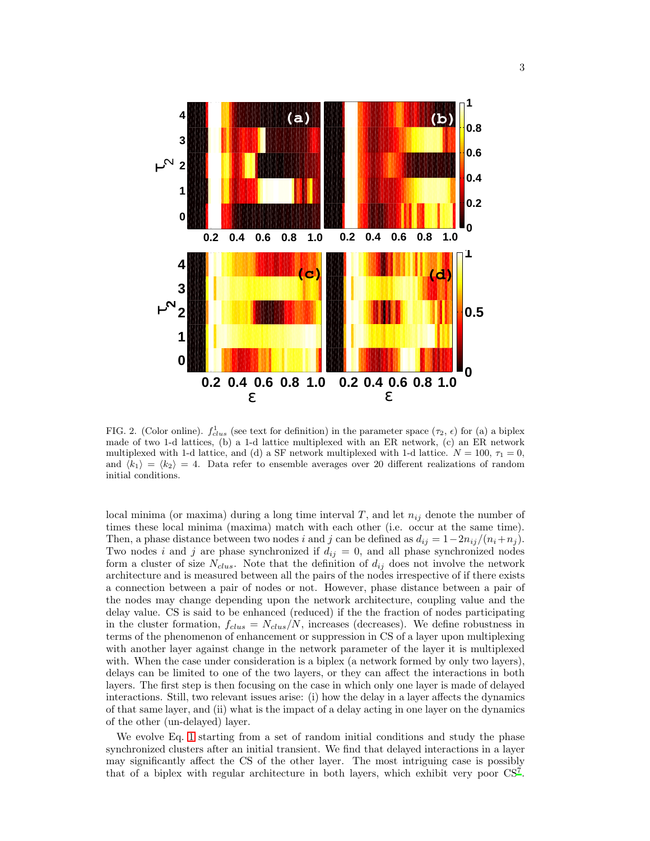

<span id="page-2-0"></span>FIG. 2. (Color online).  $f_{clus}^1$  (see text for definition) in the parameter space  $(\tau_2, \epsilon)$  for (a) a biplex made of two 1-d lattices, (b) a 1-d lattice multiplexed with an ER network, (c) an ER network multiplexed with 1-d lattice, and (d) a SF network multiplexed with 1-d lattice.  $N = 100$ ,  $\tau_1 = 0$ , and  $\langle k_1 \rangle = \langle k_2 \rangle = 4$ . Data refer to ensemble averages over 20 different realizations of random initial conditions.

local minima (or maxima) during a long time interval T, and let  $n_{ij}$  denote the number of times these local minima (maxima) match with each other (i.e. occur at the same time). Then, a phase distance between two nodes i and j can be defined as  $d_{ij} = 1-2n_{ij}/(n_i+n_j)$ . Two nodes i and j are phase synchronized if  $d_{ij} = 0$ , and all phase synchronized nodes form a cluster of size  $N_{clus}$ . Note that the definition of  $d_{ij}$  does not involve the network architecture and is measured between all the pairs of the nodes irrespective of if there exists a connection between a pair of nodes or not. However, phase distance between a pair of the nodes may change depending upon the network architecture, coupling value and the delay value. CS is said to be enhanced (reduced) if the the fraction of nodes participating in the cluster formation,  $f_{clus} = N_{clus}/N$ , increases (decreases). We define robustness in terms of the phenomenon of enhancement or suppression in CS of a layer upon multiplexing with another layer against change in the network parameter of the layer it is multiplexed with. When the case under consideration is a biplex (a network formed by only two layers), delays can be limited to one of the two layers, or they can affect the interactions in both layers. The first step is then focusing on the case in which only one layer is made of delayed interactions. Still, two relevant issues arise: (i) how the delay in a layer affects the dynamics of that same layer, and (ii) what is the impact of a delay acting in one layer on the dynamics of the other (un-delayed) layer.

We evolve Eq. [1](#page-1-0) starting from a set of random initial conditions and study the phase synchronized clusters after an initial transient. We find that delayed interactions in a layer may significantly affect the CS of the other layer. The most intriguing case is possibly that of a biplex with regular architecture in both layers, which exhibit very poor CS[7](#page-8-6) .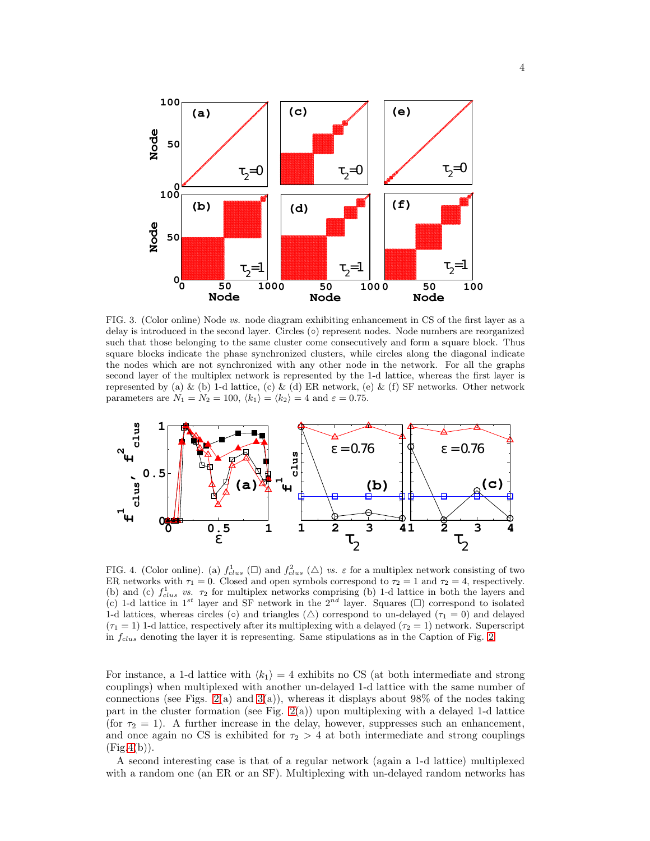

<span id="page-3-0"></span>FIG. 3. (Color online) Node vs. node diagram exhibiting enhancement in CS of the first layer as a delay is introduced in the second layer. Circles (◦) represent nodes. Node numbers are reorganized such that those belonging to the same cluster come consecutively and form a square block. Thus square blocks indicate the phase synchronized clusters, while circles along the diagonal indicate the nodes which are not synchronized with any other node in the network. For all the graphs second layer of the multiplex network is represented by the 1-d lattice, whereas the first layer is represented by (a) & (b) 1-d lattice, (c) & (d) ER network, (e) & (f) SF networks. Other network parameters are  $N_1 = N_2 = 100, \langle k_1 \rangle = \langle k_2 \rangle = 4$  and  $\varepsilon = 0.75$ .



<span id="page-3-1"></span>FIG. 4. (Color online). (a)  $f_{clus}^1(\square)$  and  $f_{clus}^2(\triangle)$  vs.  $\varepsilon$  for a multiplex network consisting of two ER networks with  $\tau_1 = 0$ . Closed and open symbols correspond to  $\tau_2 = 1$  and  $\tau_2 = 4$ , respectively. (b) and (c)  $f_{clus}^1$  vs.  $\tau_2$  for multiplex networks comprising (b) 1-d lattice in both the layers and (c) 1-d lattice in 1<sup>st</sup> layer and SF network in the 2<sup>nd</sup> layer. Squares ( $\square$ ) correspond to isolated 1-d lattices, whereas circles ( $\circ$ ) and triangles ( $\triangle$ ) correspond to un-delayed ( $\tau_1 = 0$ ) and delayed  $(\tau_1 = 1)$  1-d lattice, respectively after its multiplexing with a delayed  $(\tau_2 = 1)$  network. Superscript in  $f_{clus}$  denoting the layer it is representing. Same stipulations as in the Caption of Fig. [2.](#page-2-0)

For instance, a 1-d lattice with  $\langle k_1 \rangle = 4$  exhibits no CS (at both intermediate and strong couplings) when multiplexed with another un-delayed 1-d lattice with the same number of connections (see Figs. [2\(](#page-2-0)a) and [3\(](#page-3-0)a)), whereas it displays about  $98\%$  of the nodes taking part in the cluster formation (see Fig.  $2(a)$ ) upon multiplexing with a delayed 1-d lattice (for  $\tau_2 = 1$ ). A further increase in the delay, however, suppresses such an enhancement, and once again no CS is exhibited for  $\tau_2 > 4$  at both intermediate and strong couplings  $(Fig.4(b)).$  $(Fig.4(b)).$  $(Fig.4(b)).$ 

A second interesting case is that of a regular network (again a 1-d lattice) multiplexed with a random one (an ER or an SF). Multiplexing with un-delayed random networks has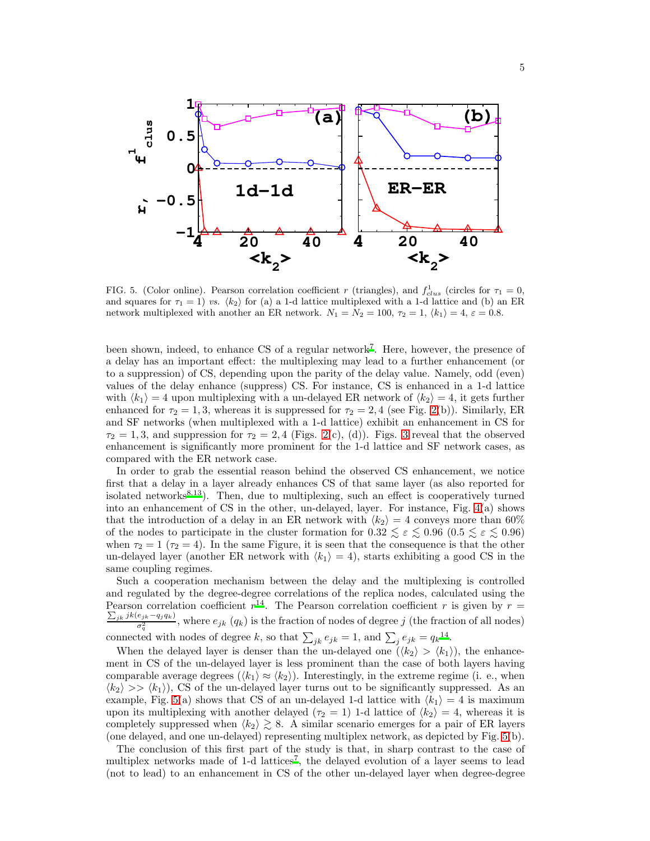

<span id="page-4-0"></span>FIG. 5. (Color online). Pearson correlation coefficient r (triangles), and  $f_{clus}^1$  (circles for  $\tau_1 = 0$ , and squares for  $\tau_1 = 1$ ) vs.  $\langle k_2 \rangle$  for (a) a 1-d lattice multiplexed with a 1-d lattice and (b) an ER network multiplexed with another an ER network.  $N_1 = N_2 = 100$ ,  $\tau_2 = 1$ ,  $\langle k_1 \rangle = 4$ ,  $\varepsilon = 0.8$ .

been shown, indeed, to enhance CS of a regular networ[k](#page-8-6)<sup>7</sup>. Here, however, the presence of a delay has an important effect: the multiplexing may lead to a further enhancement (or to a suppression) of CS, depending upon the parity of the delay value. Namely, odd (even) values of the delay enhance (suppress) CS. For instance, CS is enhanced in a 1-d lattice with  $\langle k_1 \rangle = 4$  upon multiplexing with a un-delayed ER network of  $\langle k_2 \rangle = 4$ , it gets further enhanced for  $\tau_2 = 1, 3$ , whereas it is suppressed for  $\tau_2 = 2, 4$  (see Fig. [2\(](#page-2-0)b)). Similarly, ER and SF networks (when multiplexed with a 1-d lattice) exhibit an enhancement in CS for  $\tau_2 = 1, 3$  $\tau_2 = 1, 3$ , and suppression for  $\tau_2 = 2, 4$  (Figs. [2\(](#page-2-0)c), (d)). Figs. 3 reveal that the observed enhancement is significantly more prominent for the 1-d lattice and SF network cases, as compared with the ER network case.

In order to grab the essential reason behind the observed CS enhancement, we notice first that a delay in a layer already enhances CS of that same layer (as also reported for isolated networks $8,13$  $8,13$ ). Then, due to multiplexing, such an effect is cooperatively turned into an enhancement of CS in the other, un-delayed, layer. For instance, Fig. [4\(](#page-3-1)a) shows that the introduction of a delay in an ER network with  $\langle k_2 \rangle = 4$  conveys more than 60% of the nodes to participate in the cluster formation for  $0.32 \le \varepsilon \le 0.96$  ( $0.5 \le \varepsilon \le 0.96$ ) when  $\tau_2 = 1$  ( $\tau_2 = 4$ ). In the same Figure, it is seen that the consequence is that the other un-delayed layer (another ER network with  $\langle k_1 \rangle = 4$ ), starts exhibiting a good CS in the same coupling regimes.

Such a cooperation mechanism between the delay and the multiplexing is controlled and regulated by the degree-degree correlations of the replica nodes, calculated using the Pearson correlation coefficient  $r^{14}$  $r^{14}$  $r^{14}$ . The Pearson correlation coefficient r is given by  $r =$  $\frac{\sum_{jk} jk(e_{jk}-q_j q_k)}{\sigma_q^2}$ , where  $e_{jk}$  (q<sub>k</sub>) is the fraction of nodes of degree j (the fraction of all nodes) connected with nodes of degree k, so that  $\sum_{jk} e_{jk} = 1$ , and  $\sum_{j} e_{jk} = q_k^{14}$  $\sum_{j} e_{jk} = q_k^{14}$  $\sum_{j} e_{jk} = q_k^{14}$ .

When the delayed layer is denser than the un-delayed one  $(\langle k_2 \rangle > \langle k_1 \rangle)$ , the enhancement in CS of the un-delayed layer is less prominent than the case of both layers having comparable average degrees  $(\langle k_1 \rangle \approx \langle k_2 \rangle)$ . Interestingly, in the extreme regime (i. e., when  $\langle k_2 \rangle >> \langle k_1 \rangle$ , CS of the un-delayed layer turns out to be significantly suppressed. As an example, Fig. [5\(](#page-4-0)a) shows that CS of an un-delayed 1-d lattice with  $\langle k_1 \rangle = 4$  is maximum upon its multiplexing with another delayed ( $\tau_2 = 1$ ) 1-d lattice of  $\langle k_2 \rangle = 4$ , whereas it is completely suppressed when  $\langle k_2 \rangle \ge 8$ . A similar scenario emerges for a pair of ER layers (one delayed, and one un-delayed) representing multiplex network, as depicted by Fig. [5\(](#page-4-0)b).

The conclusion of this first part of the study is that, in sharp contrast to the case of multiplex networks made of 1-d lattices<sup>[7](#page-8-6)</sup>, the delayed evolution of a layer seems to lead (not to lead) to an enhancement in CS of the other un-delayed layer when degree-degree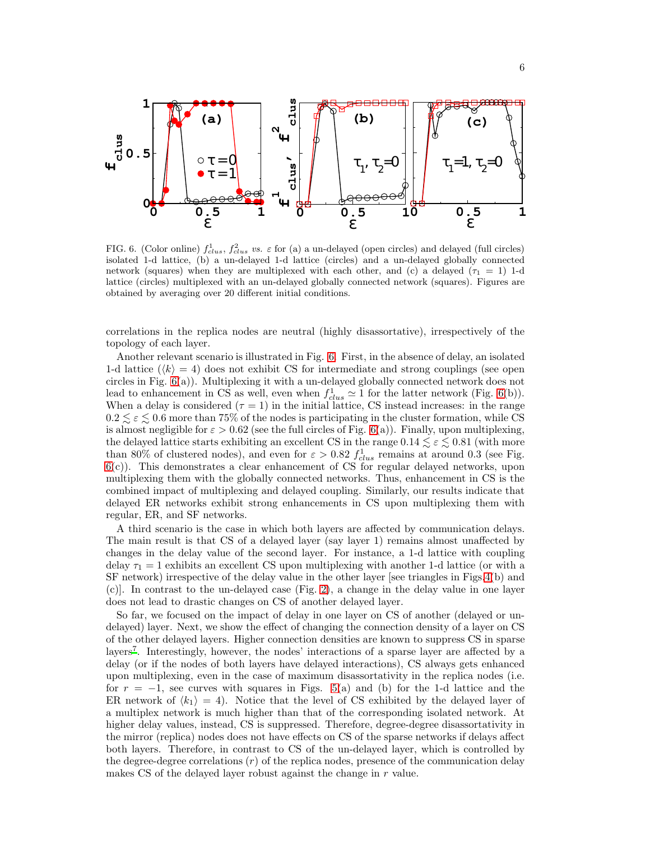

<span id="page-5-0"></span>FIG. 6. (Color online)  $f_{clus}^1, f_{clus}^2$  vs.  $\varepsilon$  for (a) a un-delayed (open circles) and delayed (full circles) isolated 1-d lattice, (b) a un-delayed 1-d lattice (circles) and a un-delayed globally connected network (squares) when they are multiplexed with each other, and (c) a delayed  $(\tau_1 = 1)$  1-d lattice (circles) multiplexed with an un-delayed globally connected network (squares). Figures are obtained by averaging over 20 different initial conditions.

correlations in the replica nodes are neutral (highly disassortative), irrespectively of the topology of each layer.

Another relevant scenario is illustrated in Fig. [6.](#page-5-0) First, in the absence of delay, an isolated 1-d lattice  $(k) = 4$ ) does not exhibit CS for intermediate and strong couplings (see open circles in Fig. [6\(](#page-5-0)a)). Multiplexing it with a un-delayed globally connected network does not lead to enhancement in CS as well, even when  $f_{clus}^1 \simeq 1$  for the latter network (Fig. [6\(](#page-5-0)b)). When a delay is considered  $(\tau = 1)$  in the initial lattice, CS instead increases: in the range  $0.2 \leq \varepsilon \leq 0.6$  more than 75% of the nodes is participating in the cluster formation, while CS is almost negligible for  $\varepsilon > 0.62$  (see the full circles of Fig. [6\(](#page-5-0)a)). Finally, upon multiplexing, the delayed lattice starts exhibiting an excellent CS in the range  $0.14 \lesssim \varepsilon \lesssim 0.81$  (with more than 80% of clustered nodes), and even for  $\varepsilon > 0.82 f_{clus}^1$  remains at around 0.3 (see Fig. [6\(](#page-5-0)c)). This demonstrates a clear enhancement of CS for regular delayed networks, upon multiplexing them with the globally connected networks. Thus, enhancement in CS is the combined impact of multiplexing and delayed coupling. Similarly, our results indicate that delayed ER networks exhibit strong enhancements in CS upon multiplexing them with regular, ER, and SF networks.

A third scenario is the case in which both layers are affected by communication delays. The main result is that CS of a delayed layer (say layer 1) remains almost unaffected by changes in the delay value of the second layer. For instance, a 1-d lattice with coupling delay  $\tau_1 = 1$  exhibits an excellent CS upon multiplexing with another 1-d lattice (or with a SF network) irrespective of the delay value in the other layer [see triangles in Figs[.4\(](#page-3-1)b) and (c)]. In contrast to the un-delayed case (Fig. [2\)](#page-2-0), a change in the delay value in one layer does not lead to drastic changes on CS of another delayed layer.

So far, we focused on the impact of delay in one layer on CS of another (delayed or undelayed) layer. Next, we show the effect of changing the connection density of a layer on CS of the other delayed layers. Higher connection densities are known to suppress CS in sparse layers<sup>[7](#page-8-6)</sup>. Interestingly, however, the nodes' interactions of a sparse layer are affected by a delay (or if the nodes of both layers have delayed interactions), CS always gets enhanced upon multiplexing, even in the case of maximum disassortativity in the replica nodes (i.e. for  $r = -1$ , see curves with squares in Figs. [5\(](#page-4-0)a) and (b) for the 1-d lattice and the ER network of  $\langle k_1 \rangle = 4$ ). Notice that the level of CS exhibited by the delayed layer of a multiplex network is much higher than that of the corresponding isolated network. At higher delay values, instead, CS is suppressed. Therefore, degree-degree disassortativity in the mirror (replica) nodes does not have effects on CS of the sparse networks if delays affect both layers. Therefore, in contrast to CS of the un-delayed layer, which is controlled by the degree-degree correlations  $(r)$  of the replica nodes, presence of the communication delay makes CS of the delayed layer robust against the change in r value.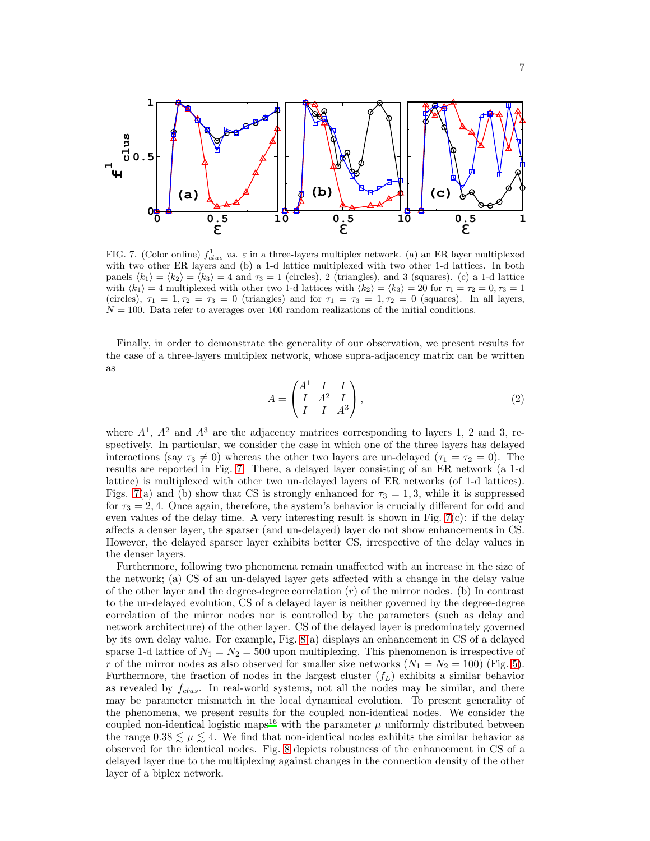

<span id="page-6-0"></span>FIG. 7. (Color online)  $f_{clus}^1$  vs.  $\varepsilon$  in a three-layers multiplex network. (a) an ER layer multiplexed with two other ER layers and (b) a 1-d lattice multiplexed with two other 1-d lattices. In both panels  $\langle k_1 \rangle = \langle k_2 \rangle = \langle k_3 \rangle = 4$  and  $\tau_3 = 1$  (circles), 2 (triangles), and 3 (squares). (c) a 1-d lattice with  $\langle k_1 \rangle = 4$  multiplexed with other two 1-d lattices with  $\langle k_2 \rangle = \langle k_3 \rangle = 20$  for  $\tau_1 = \tau_2 = 0, \tau_3 = 1$ (circles),  $\tau_1 = 1, \tau_2 = \tau_3 = 0$  (triangles) and for  $\tau_1 = \tau_3 = 1, \tau_2 = 0$  (squares). In all layers,  $N = 100$ . Data refer to averages over 100 random realizations of the initial conditions.

Finally, in order to demonstrate the generality of our observation, we present results for the case of a three-layers multiplex network, whose supra-adjacency matrix can be written as

$$
A = \begin{pmatrix} A^1 & I & I \\ I & A^2 & I \\ I & I & A^3 \end{pmatrix},
$$
 (2)

where  $A^1$ ,  $A^2$  and  $A^3$  are the adjacency matrices corresponding to layers 1, 2 and 3, respectively. In particular, we consider the case in which one of the three layers has delayed interactions (say  $\tau_3 \neq 0$ ) whereas the other two layers are un-delayed ( $\tau_1 = \tau_2 = 0$ ). The results are reported in Fig. [7.](#page-6-0) There, a delayed layer consisting of an ER network (a 1-d lattice) is multiplexed with other two un-delayed layers of ER networks (of 1-d lattices). Figs. [7\(](#page-6-0)a) and (b) show that CS is strongly enhanced for  $\tau_3 = 1, 3$ , while it is suppressed for  $\tau_3 = 2, 4$ . Once again, therefore, the system's behavior is crucially different for odd and even values of the delay time. A very interesting result is shown in Fig.  $7(c)$  $7(c)$ : if the delay affects a denser layer, the sparser (and un-delayed) layer do not show enhancements in CS. However, the delayed sparser layer exhibits better CS, irrespective of the delay values in the denser layers.

Furthermore, following two phenomena remain unaffected with an increase in the size of the network; (a) CS of an un-delayed layer gets affected with a change in the delay value of the other layer and the degree-degree correlation  $(r)$  of the mirror nodes. (b) In contrast to the un-delayed evolution, CS of a delayed layer is neither governed by the degree-degree correlation of the mirror nodes nor is controlled by the parameters (such as delay and network architecture) of the other layer. CS of the delayed layer is predominately governed by its own delay value. For example, Fig. [8\(](#page-7-0)a) displays an enhancement in CS of a delayed sparse 1-d lattice of  $N_1 = N_2 = 500$  upon multiplexing. This phenomenon is irrespective of r of the mirror nodes as also observed for smaller size networks  $(N_1 = N_2 = 100)$  (Fig. [5\)](#page-4-0). Furthermore, the fraction of nodes in the largest cluster  $(f_L)$  exhibits a similar behavior as revealed by  $f_{clus.}$  In real-world systems, not all the nodes may be similar, and there may be parameter mismatch in the local dynamical evolution. To present generality of the phenomena, we present results for the coupled non-identical nodes. We consider the coupled non-identical logistic maps<sup>[16](#page-8-15)</sup> with the parameter  $\mu$  uniformly distributed between the range  $0.38 \lesssim \mu \lesssim 4$ . We find that non-identical nodes exhibits the similar behavior as observed for the identical nodes. Fig. [8](#page-7-0) depicts robustness of the enhancement in CS of a delayed layer due to the multiplexing against changes in the connection density of the other layer of a biplex network.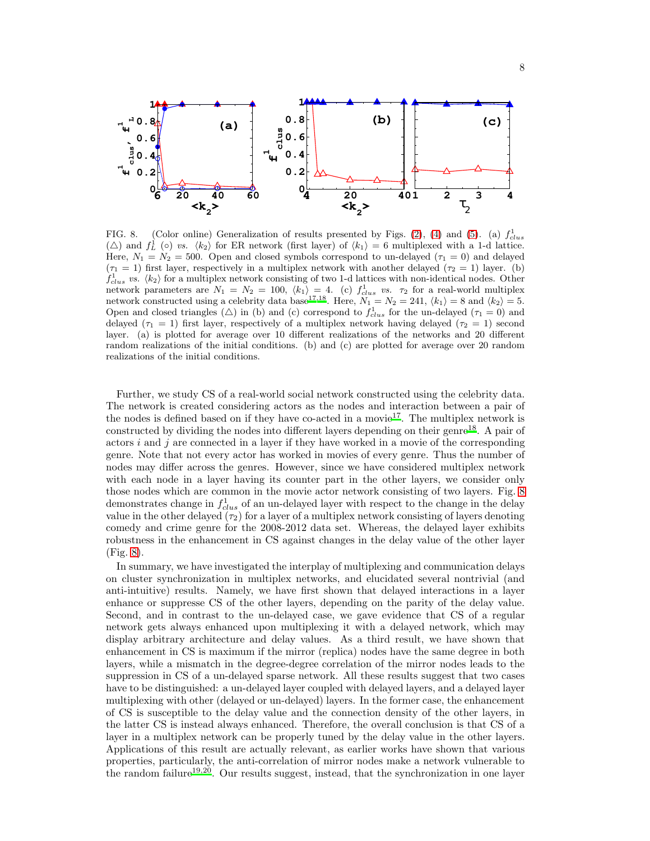

<span id="page-7-0"></span>FIG. 8. (Color online) Generalization of results presented by Figs. [\(2\)](#page-2-0), [\(4\)](#page-3-1) and [\(5\)](#page-4-0). (a)  $f_{clus}^1$  $(\triangle)$  and  $f_L^1$  ( $\circ$ ) vs.  $\langle k_2 \rangle$  for ER network (first layer) of  $\langle k_1 \rangle = 6$  multiplexed with a 1-d lattice. Here,  $N_1 = N_2 = 500$ . Open and closed symbols correspond to un-delayed ( $\tau_1 = 0$ ) and delayed  $(\tau_1 = 1)$  first layer, respectively in a multiplex network with another delayed  $(\tau_2 = 1)$  layer. (b)  $f_{clus}^1$  *vs.*  $\langle k_2 \rangle$  for a multiplex network consisting of two 1-d lattices with non-identical nodes. Other network parameters are  $N_1 = N_2 = 100, \ (k_1) = 4.$  (c)  $f_{clus}^1$  vs.  $\tau_2$  for a real-world multiplex network constructed using a celebrity data base<sup>[17](#page-8-16)[,18](#page-8-17)</sup>. Here,  $N_1 = N_2 = 241$ ,  $\langle k_1 \rangle = 8$  and  $\langle k_2 \rangle = 5$ . Open and closed triangles ( $\triangle$ ) in (b) and (c) correspond to  $f_{clus}^1$  for the un-delayed ( $\tau_1 = 0$ ) and delayed ( $\tau_1 = 1$ ) first layer, respectively of a multiplex network having delayed ( $\tau_2 = 1$ ) second layer. (a) is plotted for average over 10 different realizations of the networks and 20 different random realizations of the initial conditions. (b) and (c) are plotted for average over 20 random realizations of the initial conditions.

Further, we study CS of a real-world social network constructed using the celebrity data. The network is created considering actors as the nodes and interaction between a pair of the nodes is defined based on if they have co-acted in a movie<sup>[17](#page-8-16)</sup>. The multiplex network is constructed by dividing the nodes into different layers depending on their genre<sup>[18](#page-8-17)</sup>. A pair of actors i and j are connected in a layer if they have worked in a movie of the corresponding genre. Note that not every actor has worked in movies of every genre. Thus the number of nodes may differ across the genres. However, since we have considered multiplex network with each node in a layer having its counter part in the other layers, we consider only those nodes which are common in the movie actor network consisting of two layers. Fig. [8](#page-7-0) demonstrates change in  $f_{clus.}^1$  of an un-delayed layer with respect to the change in the delay value in the other delayed  $(\tau_2)$  for a layer of a multiplex network consisting of layers denoting comedy and crime genre for the 2008-2012 data set. Whereas, the delayed layer exhibits robustness in the enhancement in CS against changes in the delay value of the other layer (Fig. [8\)](#page-7-0).

In summary, we have investigated the interplay of multiplexing and communication delays on cluster synchronization in multiplex networks, and elucidated several nontrivial (and anti-intuitive) results. Namely, we have first shown that delayed interactions in a layer enhance or suppresse CS of the other layers, depending on the parity of the delay value. Second, and in contrast to the un-delayed case, we gave evidence that CS of a regular network gets always enhanced upon multiplexing it with a delayed network, which may display arbitrary architecture and delay values. As a third result, we have shown that enhancement in CS is maximum if the mirror (replica) nodes have the same degree in both layers, while a mismatch in the degree-degree correlation of the mirror nodes leads to the suppression in CS of a un-delayed sparse network. All these results suggest that two cases have to be distinguished: a un-delayed layer coupled with delayed layers, and a delayed layer multiplexing with other (delayed or un-delayed) layers. In the former case, the enhancement of CS is susceptible to the delay value and the connection density of the other layers, in the latter CS is instead always enhanced. Therefore, the overall conclusion is that CS of a layer in a multiplex network can be properly tuned by the delay value in the other layers. Applications of this result are actually relevant, as earlier works have shown that various properties, particularly, the anti-correlation of mirror nodes make a network vulnerable to the random failure<sup>[19](#page-8-18)[,20](#page-8-19)</sup>. Our results suggest, instead, that the synchronization in one layer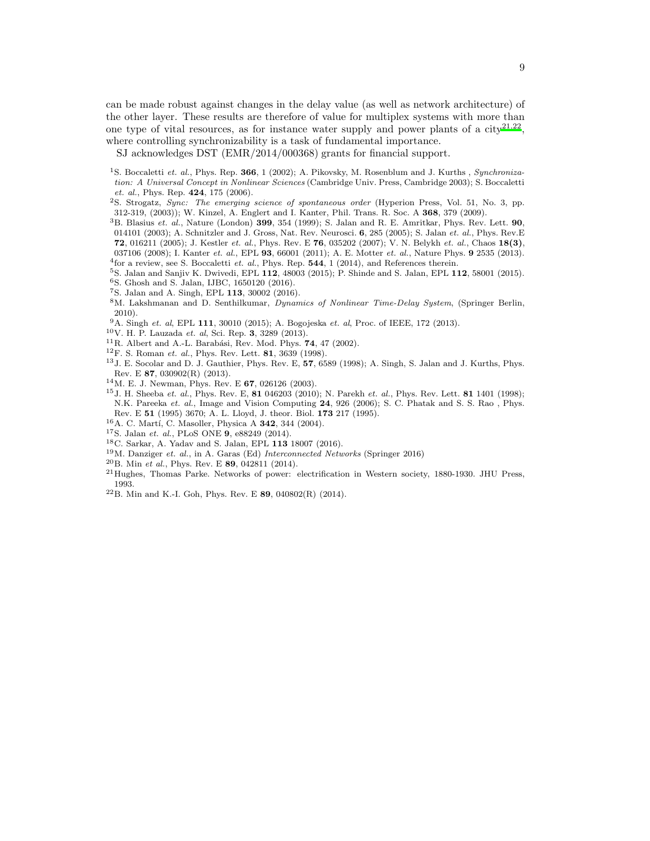can be made robust against changes in the delay value (as well as network architecture) of the other layer. These results are therefore of value for multiplex systems with more than one type of vital resources, as for instance water supply and power plants of a  $\text{city}^{21,22}$  $\text{city}^{21,22}$  $\text{city}^{21,22}$  $\text{city}^{21,22}$ , where controlling synchronizability is a task of fundamental importance.

SJ acknowledges DST (EMR/2014/000368) grants for financial support.

- <span id="page-8-0"></span><sup>1</sup>S. Boccaletti *et. al.*, Phys. Rep. 366, 1 (2002); A. Pikovsky, M. Rosenblum and J. Kurths , *Synchronization: A Universal Concept in Nonlinear Sciences* (Cambridge Univ. Press, Cambridge 2003); S. Boccaletti *et. al.*, Phys. Rep. 424, 175 (2006).
- <span id="page-8-1"></span><sup>2</sup>S. Strogatz, *Sync: The emerging science of spontaneous order* (Hyperion Press, Vol. 51, No. 3, pp. 312-319, (2003)); W. Kinzel, A. Englert and I. Kanter, Phil. Trans. R. Soc. A 368, 379 (2009).
- <span id="page-8-2"></span><sup>3</sup>B. Blasius *et. al.*, Nature (London) 399, 354 (1999); S. Jalan and R. E. Amritkar, Phys. Rev. Lett. 90, 014101 (2003); A. Schnitzler and J. Gross, Nat. Rev. Neurosci. 6, 285 (2005); S. Jalan *et. al.*, Phys. Rev.E 72, 016211 (2005); J. Kestler *et. al.*, Phys. Rev. E 76, 035202 (2007); V. N. Belykh *et. al.*, Chaos 18(3), 037106 (2008); I. Kanter *et. al.*, EPL 93, 66001 (2011); A. E. Motter *et. al.*, Nature Phys. 9 2535 (2013). 4 for a review, see S. Boccaletti *et. al.*, Phys. Rep. 544, 1 (2014), and References therein.
- <span id="page-8-4"></span><span id="page-8-3"></span><sup>5</sup>S. Jalan and Sanjiv K. Dwivedi, EPL 112, 48003 (2015); P. Shinde and S. Jalan, EPL 112, 58001 (2015). <sup>6</sup>S. Ghosh and S. Jalan, IJBC, 1650120 (2016).
- <span id="page-8-6"></span><span id="page-8-5"></span><sup>7</sup>S. Jalan and A. Singh, EPL 113, 30002 (2016).
- <span id="page-8-7"></span><sup>8</sup>M. Lakshmanan and D. Senthilkumar, *Dynamics of Nonlinear Time-Delay System*, (Springer Berlin, 2010).
- <span id="page-8-8"></span><sup>9</sup>A. Singh *et. al*, EPL 111, 30010 (2015); A. Bogojeska *et. al*, Proc. of IEEE, 172 (2013).
- <span id="page-8-9"></span><sup>10</sup>V. H. P. Lauzada *et. al*, Sci. Rep. 3, 3289 (2013).
- <span id="page-8-10"></span> $11R$ . Albert and A.-L. Barabási, Rev. Mod. Phys. 74, 47 (2002).
- <span id="page-8-12"></span><sup>12</sup>F. S. Roman *et. al.*, Phys. Rev. Lett. 81, 3639 (1998).
- <span id="page-8-13"></span><sup>13</sup>J. E. Socolar and D. J. Gauthier, Phys. Rev. E, 57, 6589 (1998); A. Singh, S. Jalan and J. Kurths, Phys. Rev. E 87, 030902(R) (2013).
- <span id="page-8-14"></span><sup>14</sup>M. E. J. Newman, Phys. Rev. E 67, 026126 (2003).
- <span id="page-8-11"></span><sup>15</sup>J. H. Sheeba *et. al.*, Phys. Rev. E, 81 046203 (2010); N. Parekh *et. al.*, Phys. Rev. Lett. 81 1401 (1998); N.K. Pareeka *et. al.*, Image and Vision Computing 24, 926 (2006); S. C. Phatak and S. S. Rao , Phys. Rev. E 51 (1995) 3670; A. L. Lloyd, J. theor. Biol. 173 217 (1995).
- <span id="page-8-15"></span><sup>16</sup>A. C. Martí, C. Masoller, Physica A **342**, 344 (2004).
- <span id="page-8-16"></span><sup>17</sup>S. Jalan *et. al.*, PLoS ONE 9, e88249 (2014).
- <span id="page-8-17"></span><sup>18</sup>C. Sarkar, A. Yadav and S. Jalan, EPL 113 18007 (2016).
- <span id="page-8-18"></span><sup>19</sup>M. Danziger *et. al.*, in A. Garas (Ed) *Interconnected Networks* (Springer 2016)
- <span id="page-8-19"></span><sup>20</sup>B. Min *et al.*, Phys. Rev. E 89, 042811 (2014).
- <span id="page-8-20"></span><sup>21</sup>Hughes, Thomas Parke. Networks of power: electrification in Western society, 1880-1930. JHU Press, 1993.
- <span id="page-8-21"></span><sup>22</sup>B. Min and K.-I. Goh, Phys. Rev. E 89, 040802(R) (2014).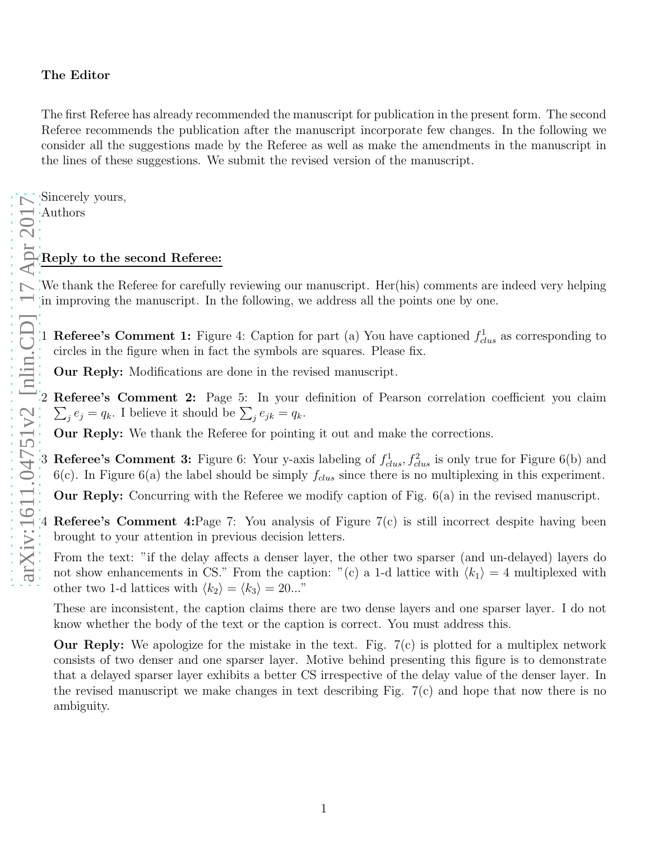## The Editor

The first Referee has already recommended the manuscript for publication in the present form. The second Referee recommends the publication after the manuscript incorporate few changes. In the following we consider all the suggestions made by the Referee as well as make the amendments in the manuscript in the lines of these suggestions. We submit the revised version of the manuscript.

Sincerely yours,

Authors

## Reply to the second Referee:

We thank the Referee for carefully reviewing our manuscript. Her(his) comments are indeed very helping in improving the manuscript. In the following, we address all the points one by one.

1 **Referee's Comment 1:** Figure 4: Caption for part (a) You have captioned  $f_{clus}^1$  as corresponding to circles in the figure when in fact the symbols are squares. Please fix.

Our Reply: Modifications are done in the revised manuscript.

2  $\sum$ Referee's Comment 2: Page 5: In your definition of Pearson correlation coefficient you claim  $j e_j = q_k$ . I believe it should be  $\sum_j e_{jk} = q_k$ .

Our Reply: We thank the Referee for pointing it out and make the corrections.

3 Referee's Comment 3: Figure 6: Your y-axis labeling of  $f_{clus}^1, f_{clus}^2$  is only true for Figure 6(b) and 6(c). In Figure 6(a) the label should be simply  $f_{clus}$  since there is no multiplexing in this experiment.

Our Reply: Concurring with the Referee we modify caption of Fig.  $6(a)$  in the revised manuscript.

- 4 Referee's Comment 4:Page 7: You analysis of Figure 7(c) is still incorrect despite having been brought to your attention in previous decision letters.
	- From the text: "if the delay affects a denser layer, the other two sparser (and un-delayed) layers do not show enhancements in CS." From the caption: "(c) a 1-d lattice with  $\langle k_1 \rangle = 4$  multiplexed with other two 1-d lattices with  $\langle k_2 \rangle = \langle k_3 \rangle = 20...$ "

These are inconsistent, the caption claims there are two dense layers and one sparser layer. I do not know whether the body of the text or the caption is correct. You must address this.

**Our Reply:** We apologize for the mistake in the text. Fig.  $7(c)$  is plotted for a multiplex network consists of two denser and one sparser layer. Motive behind presenting this figure is to demonstrate that a delayed sparser layer exhibits a better CS irrespective of the delay value of the denser layer. In the revised manuscript we make changes in text describing Fig. 7(c) and hope that now there is no ambiguity.